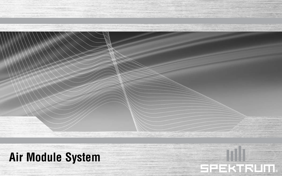**Air Module System**

SPEKTRUM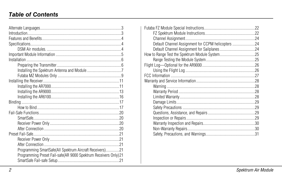# **Table of Contents**

| Programming SmartSafe(All Spektrum Aircraft Receivers)2         |  |
|-----------------------------------------------------------------|--|
| Programming Preset Fail-safe(AR 9000 Spektrum Receivers Only) 2 |  |
|                                                                 |  |
|                                                                 |  |

|                                                 | 22 |
|-------------------------------------------------|----|
|                                                 |    |
|                                                 |    |
| Default Channel Assignment for CCPM helicopters |    |
|                                                 |    |
|                                                 |    |
|                                                 |    |
|                                                 |    |
|                                                 |    |
|                                                 |    |
|                                                 |    |
|                                                 |    |
|                                                 |    |
|                                                 |    |
|                                                 |    |
|                                                 |    |
|                                                 |    |
|                                                 |    |
|                                                 |    |
|                                                 |    |
|                                                 |    |
|                                                 |    |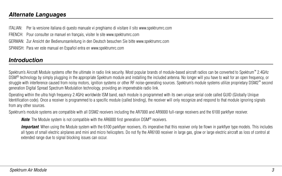# <span id="page-2-0"></span>**Alternate Languages**

ITALIAN: Per la versione italiana di questo manuale vi preghiamo di visitare il sito www.spektrumrc.com

FRENCH: Pour consulter ce manuel en français, visiter le site www.spektrumrc.com

GERMAN: Zur Ansicht der Bedienunsanleitung in den Deutsch besuchen Sie bitte www.spektrumrc.com

SPANISH: Para ver este manual en Español entra en www.spektrumrc.com

## **Introduction**

Spektrum's Aircraft Module systems offer the ultimate in radio link security. Most popular brands of module-based aircraft radios can be converted to Spektrum™ 2.4GHz DSM<sup>®</sup> technology by simply plugging in the appropriate Spektrum module and installing the included antenna. No longer will you have to wait for an open frequency, or struggle with interference caused from noisy motors, ignition systems or other RF noise-generating sources. Spektrum's module systems utilize proprietary DSM2<sup>™</sup> second generation Digital Spread Spectrum Modulation technology, providing an impenetrable radio link.

Operating within the ultra high frequency 2.4GHz worldwide ISM band, each module is programmed with its own unique serial code called GUID (Globally Unique Identification code). Once a receiver is programmed to a specific module (called binding), the receiver will only recognize and respond to that module ignoring signals from any other sources.

Spektrum's module systems are compatible with all DSM2 receivers including the AR7000 and AR9000 full-range receivers and the 6100 parkflyer receiver.

*Note*: The Module system is not compatible with the AR6000 first generation DSM<sup>®</sup> receivers.

*Important*: When using the Module system with the 6100 parkflyer receivers, it's imperative that this receiver only be flown in parkflyer type models. This includes all types of small electric airplanes and mini and micro helicopters. Do not fly the AR6100 receiver in large gas, glow or large electric aircraft as loss of control at extended range due to signal blocking issues can occur.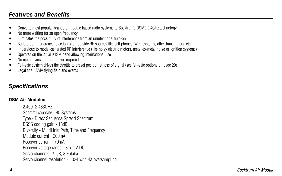## <span id="page-3-0"></span>**Features and Benefits**

- Converts most popular brands of module based radio systems to Spektrum's DSM2 2.4GHz technology
- No more waiting for an open frequency
- Eliminates the possibility of interference from an unintentional turn-on
- Bulletproof interference rejection of all outside RF sources like cell phones, WiFi systems, other transmitters, etc.
- Impervious to model-generated RF interference (like noisy electric motors, metal-to-metal noise or ignition systems)
- Operates on the 2.4GHz ISM band allowing international use
- No maintenance or tuning ever required
- Fail-safe system drives the throttle to preset position at loss of signal (see fail-safe options on page 20)
- Legal at all AMA flying field and events

## **Specifications**

#### **DSM Air Modules**

2.400–2.483GHz Spectral capacity - 40 Systems Type - Direct Sequence Spread Spectrum DSSS coding gain - 18dB Diversity - MultiLink: Path, Time and Frequency Module current - 200mA Receiver current - 70mA Receiver voltage range - 3.5–9V DC Servo channels - 9 JR, 8 Futaba Servo channel resolution - 1024 with 4X oversampling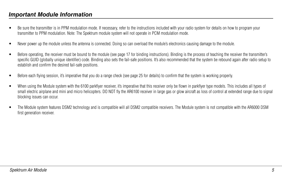## <span id="page-4-0"></span>**Important Module Information**

- Be sure the transmitter is in PPM modulation mode. If necessary, refer to the instructions included with your radio system for details on how to program your transmitter to PPM modulation. Note: The Spektrum module system will not operate in PCM modulation mode.
- Never power up the module unless the antenna is connected. Doing so can overload the module's electronics causing damage to the module.
- Before operating, the receiver must be bound to the module (see page 17 for binding instructions). Binding is the process of teaching the receiver the transmitter's specific GUID (globally unique identifier) code. Binding also sets the fail-safe positions. It's also recommended that the system be rebound again after radio setup to establish and confirm the desired fail-safe positions.
- Before each flying session, it's imperative that you do a range check (see page 25 for details) to confirm that the system is working properly.
- When using the Module system with the 6100 parkflyer receiver, it's imperative that this receiver only be flown in parkflyer type models. This includes all types of small electric airplane and mini and micro helicopters. DO NOT fly the AR6100 receiver in large gas or glow aircraft as loss of control at extended range due to signal blocking issues can occur.
- The Module system features DSM2 technology and is compatible will all DSM2 compatible receivers. The Module system is not compatible with the AR6000 DSM first generation receiver.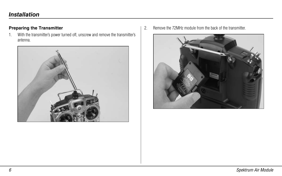# <span id="page-5-0"></span>**Installation**

### **Preparing the Transmitter**

1. With the transmitter's power turned off, unscrew and remove the transmitter's antenna.



2. Remove the 72MHz module from the back of the transmitter.

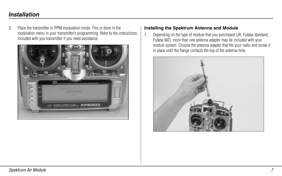# <span id="page-6-0"></span>**Installation**

3. Place the transmitter in PPM modulation mode. This is done in the modulation menu in your transmitter's programming. Refer to the instructions included with you transmitter if you need assistance.



#### **Installing the Spektrum Antenna and Module**

1. Depending on the type of module that you purchased (JR, Futaba standard, Futaba MZ), more than one antenna adapter may be included with your module system. Choose the antenna adapter that fits your radio and screw it in place until the flange contacts the top of the antenna hole.

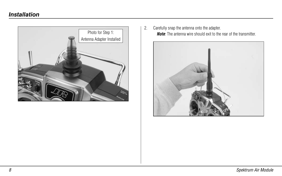

2. Carefully snap the antenna onto the adapter. *Note*: The antenna wire should exit to the rear of the transmitter.

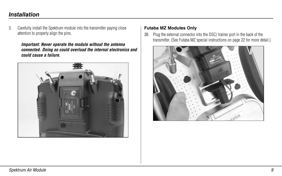# <span id="page-8-0"></span>**Installation**

3. Carefully install the Spektrum module into the transmitter paying close attention to properly align the pins.

#### *Important: Never operate the module without the antenna connected. Doing so could overload the internal electronics and could cause a failure.*



#### **Futaba MZ Modules Only**

3B. Plug the external connector into the DSC/ trainer port in the back of the transmitter. (See Futaba MZ special instructions on page 22 for more detail.)

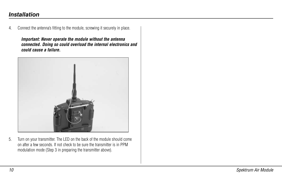# **Installation**

4. Connect the antenna's fitting to the module, screwing it securely in place.

*Important: Never operate the module without the antenna connected. Doing so could overload the internal electronics and could cause a failure.*



5. Turn on your transmitter. The LED on the back of the module should come on after a few seconds. If not check to be sure the transmitter is in PPM modulation mode (Step 3 in preparing the transmitter above).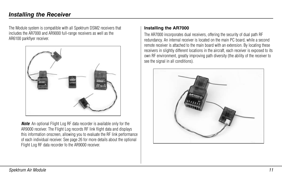<span id="page-10-0"></span>The Module system is compatible with all Spektrum DSM2 receivers that includes the AR7000 and AR9000 full-range receivers as well as the AR6100 parkflyer receiver.



**Note:** An optional Flight Log RF data recorder is available only for the AR9000 receiver. The Flight Log records RF link flight data and displays this information onscreen, allowing you to evaluate the RF link performance of each individual receiver. See page 26 for more details about the optional Flight Log RF data recorder fo the AR9000 receiver.

#### **Installing the AR7000**

The AR7000 incorporates dual receivers, offering the security of dual path RF redundancy. An internal receiver is located on the main PC board, while a second remote receiver is attached to the main board with an extension. By locating these receivers in slightly different locations in the aircraft, each receiver is exposed to its own RF environment, greatly improving path diversity (the ability of the receiver to see the signal in all conditions).

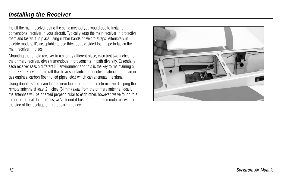Install the main receiver using the same method you would use to install a conventional receiver in your aircraft. Typically wrap the main receiver in protective foam and fasten it in place using rubber bands or Velcro straps. Alternately in electric models, it's acceptable to use thick double-sided foam tape to fasten the main receiver in place.

Mounting the remote receiver in a slightly different place, even just two inches from the primary receiver, gives tremendous improvements in path diversity. Essentially each receiver sees a different RF environment and this is the key to maintaining a solid RF link, even in aircraft that have substantial conductive materials, (i.e. larger gas engines, carbon fiber, tuned pipes, etc.) which can attenuate the signal.

Using double-sided foam tape, (servo tape) mount the remote receiver keeping the remote antenna at least 2 inches (51mm) away from the primary antenna. Ideally the antennas will be oriented perpendicular to each other, however, we've found this to not be critical. In airplanes, we've found it best to mount the remote receiver to the side of the fuselage or in the rear turtle deck.

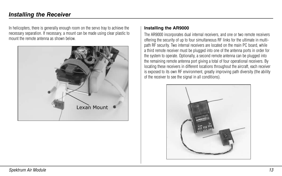<span id="page-12-0"></span>In helicopters, there is generally enough room on the servo tray to achieve the necessary separation. If necessary, a mount can be made using clear plastic to mount the remote antenna as shown below.



#### **Installing the AR9000**

The AR9000 incorporates dual internal receivers, and one or two remote receivers offering the security of up to four simultaneous RF links for the ultimate in multipath RF security. Two internal receivers are located on the main PC board, while a third remote receiver must be plugged into one of the antenna ports in order for the system to operate. Optionally, a second remote antenna can be plugged into the remaining remote antenna port giving a total of four operational receivers. By locating these receivers in different locations throughout the aircraft, each receiver is exposed to its own RF environment, greatly improving path diversity (the ability of the receiver to see the signal in all conditions).

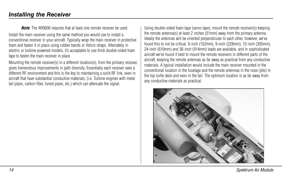*Note*: The AR9000 requires that at least one remote receiver be used.

Install the main receiver using the same method you would use to install a conventional receiver in your aircraft. Typically wrap the main receiver in protective foam and fasten it in place using rubber bands or Velcro straps. Alternately in electric or turbine-powered models, it's acceptable to use thick double-sided foam tape to fasten the main receiver in place.

Mounting the remote receiver(s) in a different location(s), from the primary receiver, gives tremendous improvements in path diversity. Essentially each receiver sees a different RF environment and this is the key to maintaining a solid RF link, even in aircraft that have substantial conductive materials, (i.e. Turbine engines with metal tail pipes, carbon fiber, tuned pipes, etc.) which can attenuate the signal.

Using double-sided foam tape (servo tape), mount the remote receiver(s) keeping the remote antenna(s) at least 2 inches (51mm) away from the primary antenna. Ideally the antennas will be oriented perpendicular to each other, however, we've found this to not be critical. 6-inch (152mm), 9-inch (228mm), 12-inch (305mm), 24-inch (610mm) and 36-inch (914mm) leads are available, and in sophisticated aircraft we've found it best to mount the remote receivers in different parts of the aircraft, keeping the remote antennas as far away as practical from any conductive materials. A typical installation would include the main receiver mounted in the conventional location in the fuselage and the remote antennas in the nose (jets) in the top turtle deck and even in the tail. The optimum location is as far away from any conductive materials as practical.

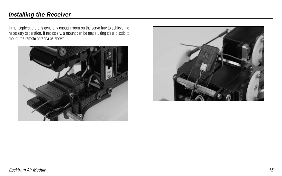In helicopters, there is generally enough room on the servo tray to achieve the necessary separation. If necessary, a mount can be made using clear plastic to mount the remote antenna as shown.



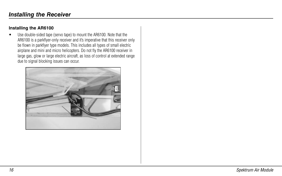### <span id="page-15-0"></span>**Installing the AR6100**

• Use double-sided tape (servo tape) to mount the AR6100. Note that the AR6100 is a parkflyer-only receiver and it's imperative that this receiver only be flown in parkflyer type models. This includes all types of small electric airplane and mini and micro helicopters. Do not fly the AR6100 receiver in large gas, glow or large electric aircraft, as loss of control at extended range due to signal blocking issues can occur.

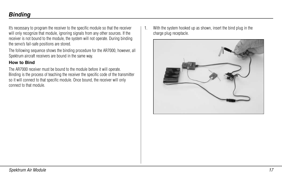# <span id="page-16-0"></span>**Binding**

It's necessary to program the receiver to the specific module so that the receiver will only recognize that module, ignoring signals from any other sources. If the receiver is not bound to the module, the system will not operate. During binding the servo's fail-safe positions are stored.

The following sequence shows the binding procedure for the AR7000, however, all Spektrum aircraft receivers are bound in the same way.

### **How to Bind**

The AR7000 receiver must be bound to the module before it will operate. Binding is the process of teaching the receiver the specific code of the transmitter so it will connect to that specific module. Once bound, the receiver will only connect to that module.

1. With the system hooked up as shown, insert the bind plug in the charge plug receptacle.

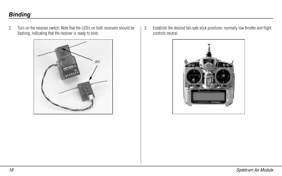# **Binding**

2. Turn on the receiver switch. Note that the LED's on both receivers should be flashing, indicating that the receiver is ready to bind.



3. Establish the desired fail-safe stick positions: normally low throttle and flight controls neutral.

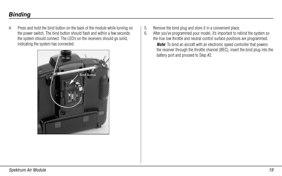# **Binding**

4. Press and hold the bind button on the back of the module while turning on the power switch. The bind button should flash and within a few seconds the system should connect. The LED's on the receivers should go solid, indicating the system has connected.



- 5. Remove the bind plug and store it in a convenient place.
- 6. After you've programmed your model, it's important to rebind the system so the true low throttle and neutral control surface positions are programmed.

**Note:** To bind an aircraft with an electronic speed controller that powers the receiver through the throttle channel (BEC), insert the bind plug into the battery port and proceed to Step #2.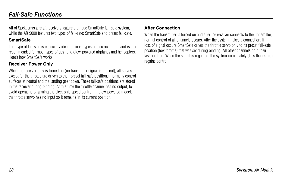<span id="page-19-0"></span>All of Spektrum's aircraft receivers feature a unique SmartSafe fail-safe system, while the AR 9000 features two types of fail-safe: SmartSafe and preset fail-safe.

## **SmartSafe**

This type of fail-safe is especially ideal for most types of electric aircraft and is also recommended for most types of gas- and glow-powered airplanes and helicopters. Here's how SmartSafe works.

## **Receiver Power Only**

When the receiver only is turned on (no transmitter signal is present), all servos except for the throttle are driven to their preset fail-safe positions, normally control surfaces at neutral and the landing gear down. These fail-safe positions are stored in the receiver during binding. At this time the throttle channel has no output, to avoid operating or arming the electronic speed control. In glow-powered models, the throttle servo has no input so it remains in its current position.

## **After Connection**

When the transmitter is turned on and after the receiver connects to the transmitter. normal control of all channels occurs. After the system makes a connection, if loss of signal occurs SmartSafe drives the throttle servo only to its preset fail-safe position (low throttle) that was set during binding. All other channels hold their last position. When the signal is regained, the system immediately (less than 4 ms) regains control.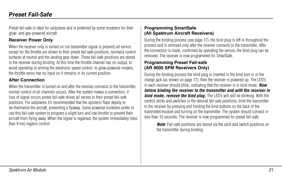<span id="page-20-0"></span>Preset fail-safe is ideal for sailplanes and is preferred by some modelers for their glow- and gas-powered aircraft.

## **Receiver Power Only**

When the receiver only is turned on (no transmitter signal is present) all servos except for the throttle are driven to their preset fail-safe positions, normally control surfaces at neutral and the landing gear down. These fail-safe positions are stored in the receiver during binding. At this time the throttle channel has no output, to avoid operating or arming the electronic speed control. In glow-powered models, the throttle servo has no input so it remains in its current position.

#### **After Connection**

When the transmitter is turned on and after the receiver connects to the transmitter, normal control of all channels occurs. After the system makes a connection, if loss of signal occurs preset fail-safe drives all servos to their preset fail-safe positions. For sailplanes it's recommended that the spoilers/ flaps deploy to de-thermalize the aircraft, preventing a flyaway. Some powered modelers prefer to use this fail-safe system to program a slight turn and low throttle to prevent their aircraft from flying away. When the signal is regained, the system immediately (less than 4 ms) regains control.

## **Programming SmartSafe (All Spektrum Aircraft Receivers)**

During the binding process (see page 17), the bind plug is left in throughout the process and is removed only after the receiver connects to the transmitter. After the connection is made, confirmed by operating the servos, the bind plug can be removed. The receiver is now programmed for SmartSafe.

### **Programming Preset Fail-safe (AR 9000 SPM Receivers Only)**

During the binding process the bind plug is inserted in the bind port or in the charge jack (as shown on page 17), then the receiver is powered up. The LED's in each receiver should blink, indicating that the receiver is in bind mode. *Now before binding the receiver to the transmitter and with the receiver in bind mode, remove the bind plug.* The LED's will still be blinking. With the control sticks and switches in the desired fail-safe positions, bind the transmitter to the receiver by pressing and holding the bind buttons on the back of the transmitter/module and turning on the transmitter. The system should connect in less than 15 seconds. The receiver is now programmed for preset fail-safe.

*Note*: Fail-safe positions are stored via the stick and switch positions on the transmitter during binding.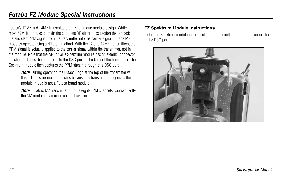<span id="page-21-0"></span>Futaba's 12MZ and 14MZ transmitters utilize a unique module design. While most 72MHz modules contain the complete RF electronics section that embeds the encoded PPM signal from the transmitter into the carrier signal, Futaba MZ modules operate using a different method. With the 12 and 14MZ transmitters, the PPM signal is actually applied to the carrier signal within the transmitter, not in the module. Note that the MZ 2.4GHz Spektrum module has an external connector attached that must be plugged into the DSC port in the back of the transmitter. The Spektrum module then captures the PPM stream through this DSC port.

*Note*: During operation the Futaba Logo at the top of the transmitter will flash. This is normal and occurs because the transmitter recognizes the module in use is not a Futaba brand module.

*Note*: Futaba's MZ transmitter outputs eight-PPM channels. Consequently the MZ module is an eight-channel system.

## **FZ Spektrum Module Instructions**

Install the Spektrum module in the back of the transmitter and plug the connector in the DSC port.

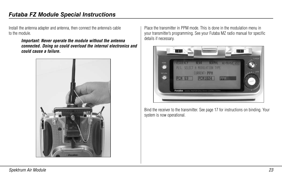Install the antenna adapter and antenna, then connect the antenna's cable to the module.

> *Important: Never operate the module without the antenna connected. Doing so could overload the internal electronics and could cause a failure.*



Place the transmitter in PPM mode. This is done in the modulation menu in your transmitter's programming. See your Futaba MZ radio manual for specific details if necessary.



Bind the receiver to the transmitter. See page 17 for instructions on binding. Your system is now operational.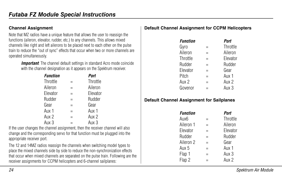### <span id="page-23-0"></span>**Channel Assignment**

Note that MZ radios have a unique feature that allows the user to reassign the functions (aileron, elevator, rudder, etc.) to any channels. This allows mixed channels like right and left ailerons to be placed next to each other on the pulse train to reduce the "out of sync" effects that occur when two or more channels are operated simultaneously.

**Important**. The channel default settings in standard Acro mode coincide with the channel designation as it appears on the Spektrum receiver.

| <b>Function</b> |          | Port     |
|-----------------|----------|----------|
| Throttle        |          | Throttle |
| Aileron         | $=$      | Aileron  |
| Elevator        | $\equiv$ | Elevator |
| Rudder          | $=$      | Rudder   |
| Gear            | =        | Gear     |
| Aux 1           | $=$      | Aux 1    |
| Aux 2           | =        | Aux 2    |
| Aux 3           |          | Aux 3    |

If the user changes the channel assignment, then the receiver channel will also change and the corresponding servo for that function must be plugged into the appropriate receiver port.

The 12 and 14MZ radios reassign the channels when switching model types to place the mixed channels side by side to reduce the non-synchronization effects that occur when mixed channels are separated on the pulse train. Following are the receiver assignments for CCPM helicopters and 6-channel sailplanes:

## **Default Channel Assignment for CCPM Helicopters**

| <b>Function</b>  |     | Port     |
|------------------|-----|----------|
| Gyro             |     | Throttle |
| Aileron          | ⋍   | Aileron  |
| Throttle         | $=$ | Elevator |
| Rudder           |     | Rudder   |
| Elevator         | =   | Gear     |
| Pitch            | $=$ | Aux 1    |
| Aux <sub>2</sub> |     | Aux 2    |
| Govenor          |     | Aux 3    |

## **Default Channel Assignment for Sailplanes**

| <b>Function</b> |     | Part     |
|-----------------|-----|----------|
| Aux6            |     | Throttle |
| Aileron 1       | $=$ | Aileron  |
| Elevator        | =   | Elevator |
| Rudder          | $=$ | Rudder   |
| Aileron 2       | $=$ | Gear     |
| Aux 5           | $=$ | Aux 1    |
| Flap 1          | Ξ   | Aux 3    |
| Flap 2          |     | Aux 2    |
|                 |     |          |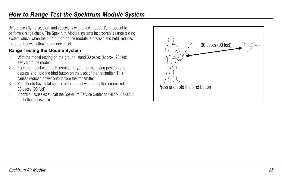<span id="page-24-0"></span>Before each flying session, and especially with a new model, it's important to perform a range check. The Spektrum Module systems incorporate a range testing system which, when the bind button on the module is pressed and held, reduces the output power, allowing a range check.

## **Range Testing the Module System**

- 1. With the model resting on the ground, stand 30 paces (approx. 90 feet) away from the model.
- 2. Face the model with the transmitter in your normal flying position and depress and hold the bind button on the back of the transmitter. This causes reduced power output from the transmitter.
- 3. You should have total control of the model with the button depressed at 30 paces (90 feet).
- 4. If control issues exist, call the Spektrum Service Center at 1-877-504-0233 for further assistance.

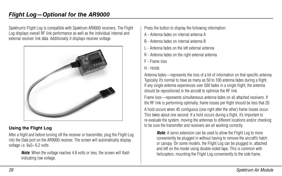# <span id="page-25-0"></span>**Flight Log—Optional for the AR9000**

Spektrum's Flight Log is compatible with Spektrum AR9000 receivers. The Flight Log displays overall RF link performance as well as the individual internal and external receiver link data. Additionally it displays receiver voltage.



## **Using the Flight Log**

After a flight and before turning off the receiver or transmitter, plug the Flight Log into the Data port on the AR9000 receiver. The screen will automatically display voltage i.e. 6v2= 6.2 volts

*Note*: When the voltage reaches 4.8 volts or less, the screen will flash indicating low voltage.

Press the button to display the following information:

- A Antenna fades on internal antenna A
- B Antenna fades on internal antenna B
- L Antenna fades on the left external antenna
- R Antenna fades on the right external antenna
- F Frame loss
- H Holds

Antenna fades—represents the loss of a bit of information on that specific antenna. Typically it's normal to have as many as 50 to 100 antenna fades during a flight. If any single antenna experiences over 500 fades in a single flight, the antenna should be repositioned in the aircraft to optimize the RF link.

Frame loss—represents simultaneous antenna fades on all attached receivers. If the RF link is performing optimally, frame losses per flight should be less that 20. A hold occurs when 45 contiguous (one right after the other) frame losses occur. This takes about one second. If a hold occurs during a flight, it's important to re-evaluate the system, moving the antennas to different locations and/or checking to be sure the transmitter and receivers are all working correctly.

**Note:** A servo extension can be used to allow the Flight Log to more conveniently be plugged in without having to remove the aircraft's hatch or canopy. On some models, the Flight Log can be plugged in, attached and left on the model using double-sided tape. This is common with helicopters, mounting the Flight Log conveniently to the side frame.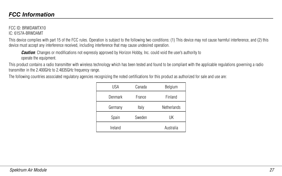#### <span id="page-26-0"></span>FCC ID: BRWDAMTX10 IC: 6157A-BRWDAMT

This device complies with part 15 of the FCC rules. Operation is subject to the following two conditions: (1) This device may not cause harmful interference, and (2) this device must accept any interference received, including interference that may cause undesired operation.

*Caution*: Changes or modifications not expressly approved by Horizon Hobby, Inc. could void the user's authority to operate the equipment.

This product contains a radio transmitter with wireless technology which has been tested and found to be compliant with the applicable regulations governing a radio transmitter in the 2.400GHz to 2.4835GHz frequency range.

The following countries associated regulatory agencies recognizing the noted certifications for this product as authorized for sale and use are:

| USA     | Canada | Belgium     |
|---------|--------|-------------|
| Denmark | France | Finland     |
| Germany | Italy  | Netherlands |
| Spain   | Sweden | UK          |
| Ireland |        | Australia   |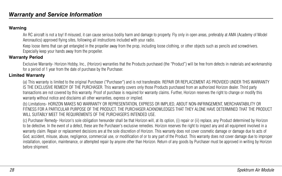### <span id="page-27-0"></span>**Warning**

An RC aircraft is not a toy! If misused, it can cause serious bodily harm and damage to property. Fly only in open areas, preferably at AMA (Academy of Model Aeronautics) approved flying sites, following all instructions included with your radio.

Keep loose items that can get entangled in the propeller away from the prop, including loose clothing, or other objects such as pencils and screwdrivers. Especially keep your hands away from the propeller.

## **Warranty Period**

Exclusive Warranty- Horizon Hobby, Inc., (Horizon) warranties that the Products purchased (the "Product") will be free from defects in materials and workmanship for a period of 1 year from the date of purchase by the Purchaser.

### **Limited Warranty**

(a) This warranty is limited to the original Purchaser ("Purchaser") and is not transferable. REPAIR OR REPLACEMENT AS PROVIDED UNDER THIS WARRANTY IS THE EXCLUSIVE REMEDY OF THE PURCHASER. This warranty covers only those Products purchased from an authorized Horizon dealer. Third party transactions are not covered by this warranty. Proof of purchase is required for warranty claims. Further, Horizon reserves the right to change or modify this warranty without notice and disclaims all other warranties, express or implied.

(b) Limitations- HORIZON MAKES NO WARRANTY OR REPRESENTATION, EXPRESS OR IMPLIED, ABOUT NON-INFRINGEMENT, MERCHANTABILITY OR FITNESS FOR A PARTICULAR PURPOSE OF THE PRODUCT. THE PURCHASER ACKNOWLEDGES THAT THEY ALONE HAVE DETERMINED THAT THE PRODUCT WILL SUITABLY MEET THE REQUIREMENTS OF THE PURCHASER'S INTENDED USE.

(c) Purchaser Remedy- Horizon's sole obligation hereunder shall be that Horizon will, at its option, (i) repair or (ii) replace, any Product determined by Horizon to be defective. In the event of a defect, these are the Purchaser's exclusive remedies. Horizon reserves the right to inspect any and all equipment involved in a warranty claim. Repair or replacement decisions are at the sole discretion of Horizon. This warranty does not cover cosmetic damage or damage due to acts of God, accident, misuse, abuse, negligence, commercial use, or modification of or to any part of the Product. This warranty does not cover damage due to improper installation, operation, maintenance, or attempted repair by anyone other than Horizon. Return of any goods by Purchaser must be approved in writing by Horizon before shipment.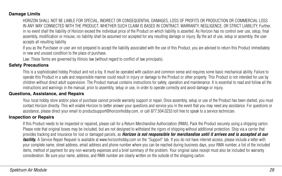#### <span id="page-28-0"></span>**Damage Limits**

HORIZON SHALL NOT BE LIABLE FOR SPECIAL, INDIRECT OR CONSEQUENTIAL DAMAGES, LOSS OF PROFITS OR PRODUCTION OR COMMERCIAL LOSS IN ANY WAY CONNECTED WITH THE PRODUCT, WHETHER SUCH CLAIM IS BASED IN CONTRACT, WARRANTY, NEGLIGENCE, OR STRICT LIABILITY. Further, in no event shall the liability of Horizon exceed the individual price of the Product on which liability is asserted. As Horizon has no control over use, setup, final assembly, modification or misuse, no liability shall be assumed nor accepted for any resulting damage or injury. By the act of use, setup or assembly, the user accepts all resulting liability.

If you as the Purchaser or user are not prepared to accept the liability associated with the use of this Product, you are advised to return this Product immediately in new and unused condition to the place of purchase.

Law: These Terms are governed by Illinois law (without regard to conflict of law principals).

#### **Safety Precautions**

This is a sophisticated hobby Product and not a toy. It must be operated with caution and common sense and requires some basic mechanical ability. Failure to operate this Product in a safe and responsible manner could result in injury or damage to the Product or other property. This Product is not intended for use by children without direct adult supervision. The Product manual contains instructions for safety, operation and maintenance. It is essential to read and follow all the instructions and warnings in the manual, prior to assembly, setup or use, in order to operate correctly and avoid damage or injury.

#### **Questions, Assistance, and Repairs**

Your local hobby store and/or place of purchase cannot provide warranty support or repair. Once assembly, setup or use of the Product has been started, you must contact Horizon directly. This will enable Horizon to better answer your questions and service you in the event that you may need any assistance. For questions or assistance, please direct your email to productsupport@horizonhobby.com, or call 877.504.0233 toll free to speak to a service technician.

#### **Inspection or Repairs**

If this Product needs to be inspected or repaired, please call for a Return Merchandise Authorization (RMA). Pack the Product securely using a shipping carton. Please note that original boxes may be included, but are not designed to withstand the rigors of shipping without additional protection. Ship via a carrier that provides tracking and insurance for lost or damaged parcels, as *Horizon is not responsible for merchandise until it arrives and is accepted at our facility.* A Service Repair Request is available at www.horizonhobby.com on the "Support" tab. If you do not have internet access, please include a letter with your complete name, street address, email address and phone number where you can be reached during business days, your RMA number, a list of the included items, method of payment for any non-warranty expenses and a brief summary of the problem. Your original sales receipt must also be included for warranty consideration. Be sure your name, address, and RMA number are clearly written on the outside of the shipping carton.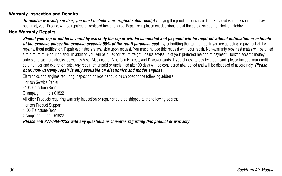#### <span id="page-29-0"></span>**Warranty Inspection and Repairs**

**To receive warranty service, you must include your original sales receipt** verifying the proof-of-purchase date. Provided warranty conditions have been met, your Product will be repaired or replaced free of charge. Repair or replacement decisions are at the sole discretion of Horizon Hobby.

### **Non-Warranty Repairs**

*Should your repair not be covered by warranty the repair will be completed and payment will be required without notification or estimate*  of the expense unless the expense exceeds 50% of the retail purchase cost. By submitting the item for repair you are agreeing to payment of the repair without notification. Repair estimates are available upon request. You must include this request with your repair. Non-warranty repair estimates will be billed a minimum of ½ hour of labor. In addition you will be billed for return freight. Please advise us of your preferred method of payment. Horizon accepts money orders and cashiers checks, as well as Visa, MasterCard, American Express, and Discover cards. If you choose to pay by credit card, please include your credit card number and expiration date. Any repair left unpaid or unclaimed after 90 days will be considered abandoned and will be disposed of accordingly. *Please note: non-warranty repair is only available on electronics and model engines.*

Electronics and engines requiring inspection or repair should be shipped to the following address:

Horizon Service Center 4105 Fieldstone Road Champaign, Illinois 61822 All other Products requiring warranty inspection or repair should be shipped to the following address: Horizon Product Support 4105 Fieldstone Road Champaign, Illinois 61822

*Please call 877-504-0233 with any questions or concerns regarding this product or warranty.*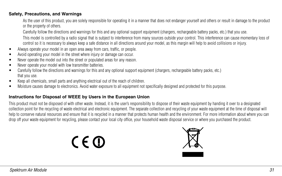#### <span id="page-30-0"></span>**Safety, Precautions, and Warnings**

As the user of this product, you are solely responsible for operating it in a manner that does not endanger yourself and others or result in damage to the product or the property of others.

Carefully follow the directions and warnings for this and any optional support equipment (chargers, rechargeable battery packs, etc.) that you use.

This model is controlled by a radio signal that is subject to interference from many sources outside your control. This interference can cause momentary loss of control so it is necessary to always keep a safe distance in all directions around your model, as this margin will help to avoid collisions or injury.

- Always operate your model in an open area away from cars, traffic, or people.
- Avoid operating your model in the street where injury or damage can occur.
- Never operate the model out into the street or populated areas for any reason.
- Never operate your model with low transmitter batteries.
- Carefully follow the directions and warnings for this and any optional support equipment (chargers, rechargeable battery packs, etc.) that you use.
- Keep all chemicals, small parts and anything electrical out of the reach of children.
- Moisture causes damage to electronics. Avoid water exposure to all equipment not specifically designed and protected for this purpose.

#### **Instructions for Disposal of WEEE by Users in the European Union**

This product must not be disposed of with other waste. Instead, it is the user's responsibility to dispose of their waste equipment by handing it over to a designated collection point for the recycling of waste electrical and electronic equipment. The separate collection and recycling of your waste equipment at the time of disposal will help to conserve natural resources and ensure that it is recycled in a manner that protects human health and the environment. For more information about where you can drop off your waste equipment for recycling, please contact your local city office, your household waste disposal service or where you purchased the product.